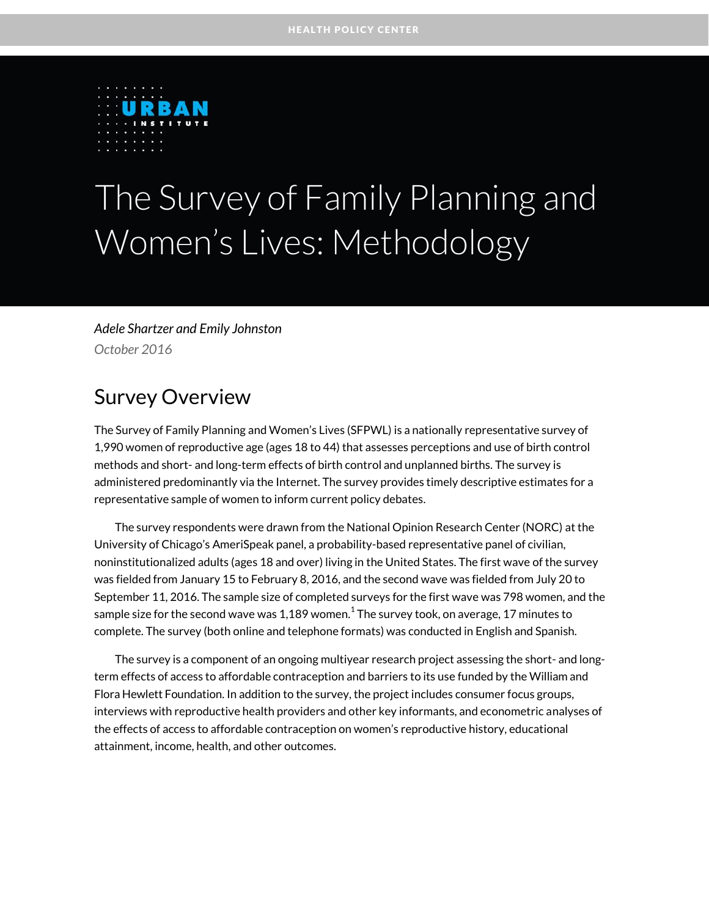

# The Survey of Family Planning and Women's Lives: Methodology

*Adele Shartzer and Emily Johnston October 2016*

### Survey Overview

The Survey of Family Planning and Women's Lives (SFPWL) is a nationally representative survey of 1,990 women of reproductive age (ages 18 to 44) that assesses perceptions and use of birth control methods and short- and long-term effects of birth control and unplanned births. The survey is administered predominantly via the Internet. The survey provides timely descriptive estimates for a representative sample of women to inform current policy debates.

The survey respondents were drawn from the National Opinion Research Center (NORC) at the University of Chicago's AmeriSpeak panel, a probability-based representative panel of civilian, noninstitutionalized adults (ages 18 and over) living in the United States. The first wave of the survey was fielded from January 15 to February 8, 2016, and the second wave was fielded from July 20 to September 11, 2016. The sample size of completed surveys for the first wave was 798 women, and the sample size for the second wave was 1,189 women. $^{\rm 1}$  The survey took, on average, 17 minutes to complete. The survey (both online and telephone formats) was conducted in English and Spanish.

The survey is a component of an ongoing multiyear research project assessing the short- and longterm effects of access to affordable contraception and barriers to its use funded by the William and Flora Hewlett Foundation. In addition to the survey, the project includes consumer focus groups, interviews with reproductive health providers and other key informants, and econometric analyses of the effects of access to affordable contraception on women's reproductive history, educational attainment, income, health, and other outcomes.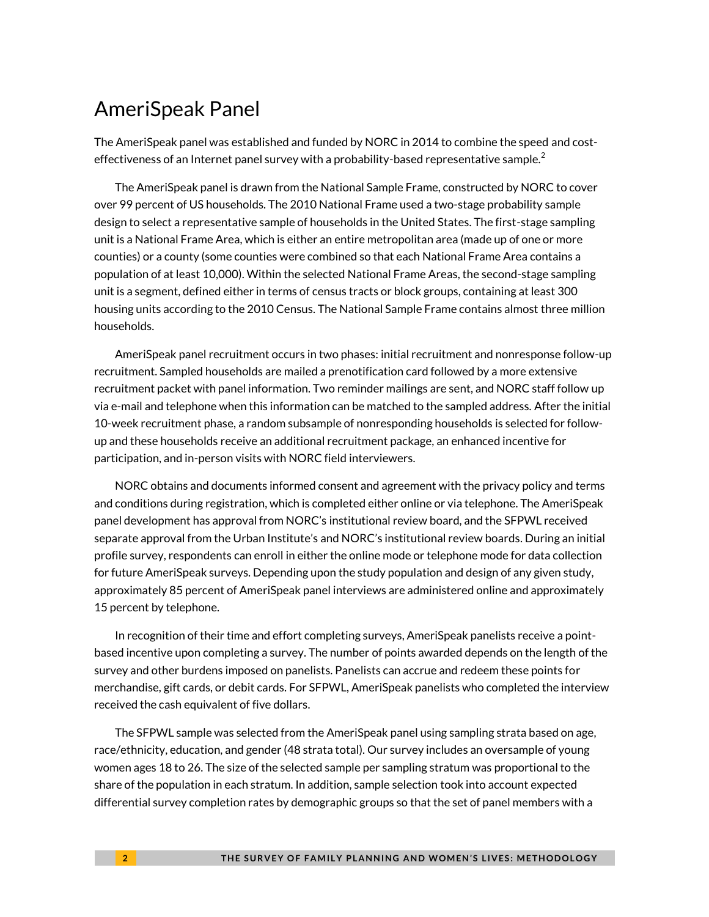#### AmeriSpeak Panel

The AmeriSpeak panel was established and funded by NORC in 2014 to combine the speed and costeffectiveness of an Internet panel survey with a probability-based representative sample.<sup>2</sup>

The AmeriSpeak panel is drawn from the National Sample Frame, constructed by NORC to cover over 99 percent of US households. The 2010 National Frame used a two-stage probability sample design to select a representative sample of households in the United States. The first-stage sampling unit is a National Frame Area, which is either an entire metropolitan area (made up of one or more counties) or a county (some counties were combined so that each National Frame Area contains a population of at least 10,000). Within the selected National Frame Areas, the second-stage sampling unit is a segment, defined either in terms of census tracts or block groups, containing at least 300 housing units according to the 2010 Census. The National Sample Frame contains almost three million households.

AmeriSpeak panel recruitment occurs in two phases: initial recruitment and nonresponse follow-up recruitment. Sampled households are mailed a prenotification card followed by a more extensive recruitment packet with panel information. Two reminder mailings are sent, and NORC staff follow up via e-mail and telephone when this information can be matched to the sampled address. After the initial 10-week recruitment phase, a random subsample of nonresponding households is selected for followup and these households receive an additional recruitment package, an enhanced incentive for participation, and in-person visits with NORC field interviewers.

NORC obtains and documents informed consent and agreement with the privacy policy and terms and conditions during registration, which is completed either online or via telephone. The AmeriSpeak panel development has approval from NORC's institutional review board, and the SFPWL received separate approval from the Urban Institute's and NORC's institutional review boards. During an initial profile survey, respondents can enroll in either the online mode or telephone mode for data collection for future AmeriSpeak surveys. Depending upon the study population and design of any given study, approximately 85 percent of AmeriSpeak panel interviews are administered online and approximately 15 percent by telephone.

In recognition of their time and effort completing surveys, AmeriSpeak panelists receive a pointbased incentive upon completing a survey. The number of points awarded depends on the length of the survey and other burdens imposed on panelists. Panelists can accrue and redeem these points for merchandise, gift cards, or debit cards. For SFPWL, AmeriSpeak panelists who completed the interview received the cash equivalent of five dollars.

The SFPWL sample was selected from the AmeriSpeak panel using sampling strata based on age, race/ethnicity, education, and gender (48 strata total). Our survey includes an oversample of young women ages 18 to 26. The size of the selected sample per sampling stratum was proportional to the share of the population in each stratum. In addition, sample selection took into account expected differential survey completion rates by demographic groups so that the set of panel members with a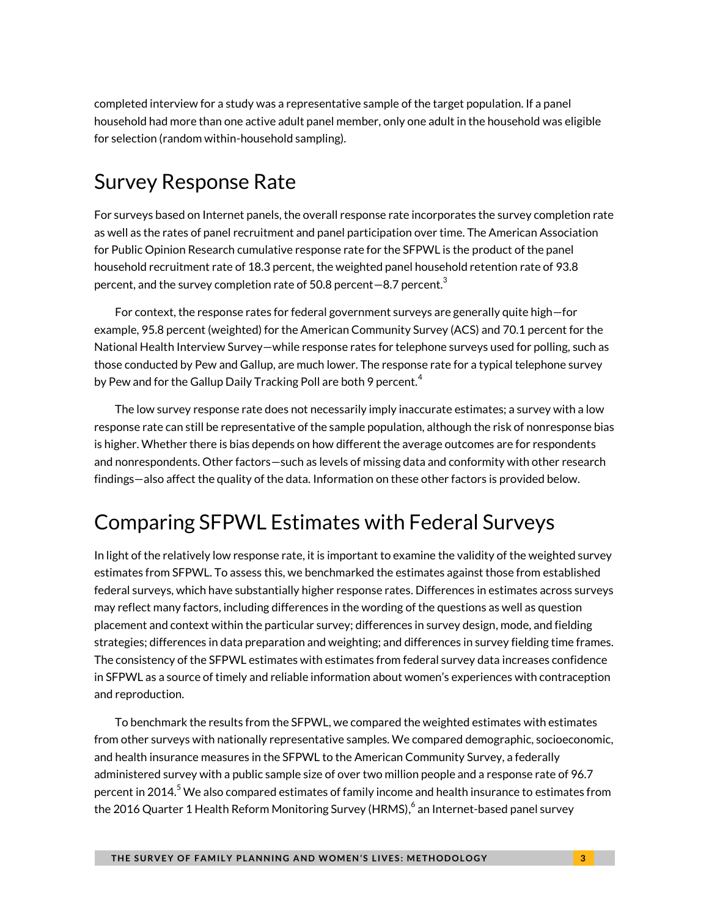completed interview for a study was a representative sample of the target population. If a panel household had more than one active adult panel member, only one adult in the household was eligible for selection (random within-household sampling).

### Survey Response Rate

For surveys based on Internet panels, the overall response rate incorporates the survey completion rate as well as the rates of panel recruitment and panel participation over time. The American Association for Public Opinion Research cumulative response rate for the SFPWL is the product of the panel household recruitment rate of 18.3 percent, the weighted panel household retention rate of 93.8 percent, and the survey completion rate of 50.8 percent $-$ 8.7 percent. $^{\rm 3}$ 

For context, the response rates for federal government surveys are generally quite high—for example, 95.8 percent (weighted) for the American Community Survey (ACS) and 70.1 percent for the National Health Interview Survey—while response rates for telephone surveys used for polling, such as those conducted by Pew and Gallup, are much lower. The response rate for a typical telephone survey by Pew and for the Gallup Daily Tracking Poll are both 9 percent. $^4$ 

The low survey response rate does not necessarily imply inaccurate estimates; a survey with a low response rate can still be representative of the sample population, although the risk of nonresponse bias is higher. Whether there is bias depends on how different the average outcomes are for respondents and nonrespondents. Other factors—such as levels of missing data and conformity with other research findings—also affect the quality of the data. Information on these other factors is provided below.

### Comparing SFPWL Estimates with Federal Surveys

In light of the relatively low response rate, it is important to examine the validity of the weighted survey estimates from SFPWL. To assess this, we benchmarked the estimates against those from established federal surveys, which have substantially higher response rates. Differences in estimates across surveys may reflect many factors, including differences in the wording of the questions as well as question placement and context within the particular survey; differences in survey design, mode, and fielding strategies; differences in data preparation and weighting; and differences in survey fielding time frames. The consistency of the SFPWL estimates with estimates from federal survey data increases confidence in SFPWL as a source of timely and reliable information about women's experiences with contraception and reproduction.

To benchmark the results from the SFPWL, we compared the weighted estimates with estimates from other surveys with nationally representative samples. We compared demographic, socioeconomic, and health insurance measures in the SFPWL to the American Community Survey, a federally administered survey with a public sample size of over two million people and a response rate of 96.7 percent in 2014. $^5$  We also compared estimates of family income and health insurance to estimates from the 2016 Quarter 1 Health Reform Monitoring Survey (HRMS), $^6$  an Internet-based panel survey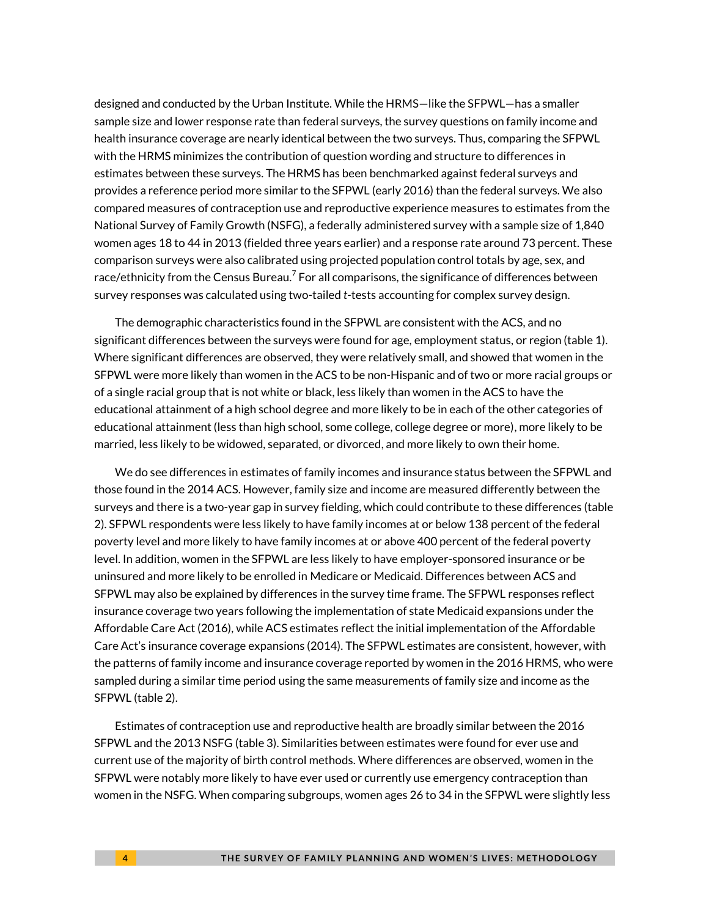designed and conducted by the Urban Institute. While the HRMS—like the SFPWL—has a smaller sample size and lower response rate than federal surveys, the survey questions on family income and health insurance coverage are nearly identical between the two surveys. Thus, comparing the SFPWL with the HRMS minimizes the contribution of question wording and structure to differences in estimates between these surveys. The HRMS has been benchmarked against federal surveys and provides a reference period more similar to the SFPWL (early 2016) than the federal surveys. We also compared measures of contraception use and reproductive experience measures to estimates from the National Survey of Family Growth (NSFG), a federally administered survey with a sample size of 1,840 women ages 18 to 44 in 2013 (fielded three years earlier) and a response rate around 73 percent. These comparison surveys were also calibrated using projected population control totals by age, sex, and race/ethnicity from the Census Bureau. $^7$  For all comparisons, the significance of differences between survey responses was calculated using two-tailed *t*-tests accounting for complex survey design.

The demographic characteristics found in the SFPWL are consistent with the ACS, and no significant differences between the surveys were found for age, employment status, or region (table 1). Where significant differences are observed, they were relatively small, and showed that women in the SFPWL were more likely than women in the ACS to be non-Hispanic and of two or more racial groups or of a single racial group that is not white or black, less likely than women in the ACS to have the educational attainment of a high school degree and more likely to be in each of the other categories of educational attainment (less than high school, some college, college degree or more), more likely to be married, less likely to be widowed, separated, or divorced, and more likely to own their home.

We do see differences in estimates of family incomes and insurance status between the SFPWL and those found in the 2014 ACS. However, family size and income are measured differently between the surveys and there is a two-year gap in survey fielding, which could contribute to these differences (table 2). SFPWL respondents were less likely to have family incomes at or below 138 percent of the federal poverty level and more likely to have family incomes at or above 400 percent of the federal poverty level. In addition, women in the SFPWL are less likely to have employer-sponsored insurance or be uninsured and more likely to be enrolled in Medicare or Medicaid. Differences between ACS and SFPWL may also be explained by differences in the survey time frame. The SFPWL responses reflect insurance coverage two years following the implementation of state Medicaid expansions under the Affordable Care Act (2016), while ACS estimates reflect the initial implementation of the Affordable Care Act's insurance coverage expansions (2014). The SFPWL estimates are consistent, however, with the patterns of family income and insurance coverage reported by women in the 2016 HRMS, who were sampled during a similar time period using the same measurements of family size and income as the SFPWL (table 2).

Estimates of contraception use and reproductive health are broadly similar between the 2016 SFPWL and the 2013 NSFG (table 3). Similarities between estimates were found for ever use and current use of the majority of birth control methods. Where differences are observed, women in the SFPWL were notably more likely to have ever used or currently use emergency contraception than women in the NSFG. When comparing subgroups, women ages 26 to 34 in the SFPWL were slightly less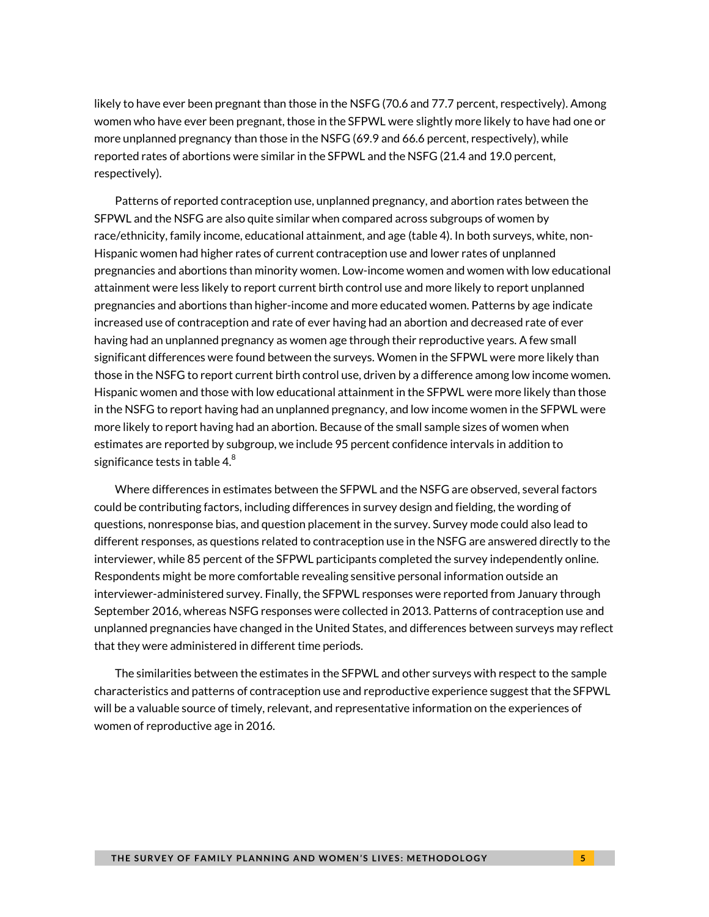likely to have ever been pregnant than those in the NSFG (70.6 and 77.7 percent, respectively). Among women who have ever been pregnant, those in the SFPWL were slightly more likely to have had one or more unplanned pregnancy than those in the NSFG (69.9 and 66.6 percent, respectively), while reported rates of abortions were similar in the SFPWL and the NSFG (21.4 and 19.0 percent, respectively).

Patterns of reported contraception use, unplanned pregnancy, and abortion rates between the SFPWL and the NSFG are also quite similar when compared across subgroups of women by race/ethnicity, family income, educational attainment, and age (table 4). In both surveys, white, non-Hispanic women had higher rates of current contraception use and lower rates of unplanned pregnancies and abortions than minority women. Low-income women and women with low educational attainment were less likely to report current birth control use and more likely to report unplanned pregnancies and abortions than higher-income and more educated women. Patterns by age indicate increased use of contraception and rate of ever having had an abortion and decreased rate of ever having had an unplanned pregnancy as women age through their reproductive years. A few small significant differences were found between the surveys. Women in the SFPWL were more likely than those in the NSFG to report current birth control use, driven by a difference among low income women. Hispanic women and those with low educational attainment in the SFPWL were more likely than those in the NSFG to report having had an unplanned pregnancy, and low income women in the SFPWL were more likely to report having had an abortion. Because of the small sample sizes of women when estimates are reported by subgroup, we include 95 percent confidence intervals in addition to significance tests in table 4. $^8$ 

Where differences in estimates between the SFPWL and the NSFG are observed, several factors could be contributing factors, including differences in survey design and fielding, the wording of questions, nonresponse bias, and question placement in the survey. Survey mode could also lead to different responses, as questions related to contraception use in the NSFG are answered directly to the interviewer, while 85 percent of the SFPWL participants completed the survey independently online. Respondents might be more comfortable revealing sensitive personal information outside an interviewer-administered survey. Finally, the SFPWL responses were reported from January through September 2016, whereas NSFG responses were collected in 2013. Patterns of contraception use and unplanned pregnancies have changed in the United States, and differences between surveys may reflect that they were administered in different time periods.

The similarities between the estimates in the SFPWL and other surveys with respect to the sample characteristics and patterns of contraception use and reproductive experience suggest that the SFPWL will be a valuable source of timely, relevant, and representative information on the experiences of women of reproductive age in 2016.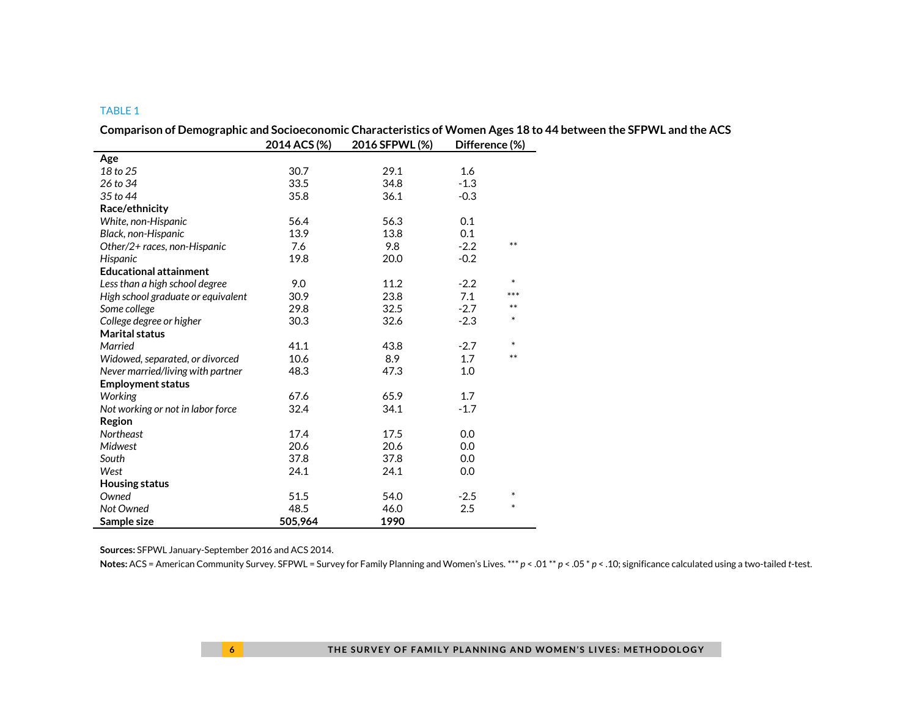|                                    | 2014 ACS (%) | 2016 SFPWL (%) | Difference (%) |        |  |
|------------------------------------|--------------|----------------|----------------|--------|--|
| Age                                |              |                |                |        |  |
| 18 to 25                           | 30.7         | 29.1           | 1.6            |        |  |
| 26 to 34                           | 33.5         | 34.8           | $-1.3$         |        |  |
| 35 to 44                           | 35.8         | 36.1           | $-0.3$         |        |  |
| Race/ethnicity                     |              |                |                |        |  |
| White, non-Hispanic                | 56.4         | 56.3           | 0.1            |        |  |
| Black, non-Hispanic                | 13.9         | 13.8           | 0.1            |        |  |
| Other/2+ races, non-Hispanic       | 7.6          | 9.8            | $-2.2$         | $**$   |  |
| Hispanic                           | 19.8         | 20.0           | $-0.2$         |        |  |
| <b>Educational attainment</b>      |              |                |                |        |  |
| Less than a high school degree     | 9.0          | 11.2           | $-2.2$         | $\ast$ |  |
| High school graduate or equivalent | 30.9         | 23.8           | 7.1            | ***    |  |
| Some college                       | 29.8         | 32.5           | $-2.7$         | $**$   |  |
| College degree or higher           | 30.3         | 32.6           | $-2.3$         | $\ast$ |  |
| <b>Marital status</b>              |              |                |                |        |  |
| Married                            | 41.1         | 43.8           | $-2.7$         | $\ast$ |  |
| Widowed, separated, or divorced    | 10.6         | 8.9            | 1.7            | $***$  |  |
| Never married/living with partner  | 48.3         | 47.3           | 1.0            |        |  |
| <b>Employment status</b>           |              |                |                |        |  |
| Working                            | 67.6         | 65.9           | 1.7            |        |  |
| Not working or not in labor force  | 32.4         | 34.1           | $-1.7$         |        |  |
| Region                             |              |                |                |        |  |
| <b>Northeast</b>                   | 17.4         | 17.5           | 0.0            |        |  |
| Midwest                            | 20.6         | 20.6           | 0.0            |        |  |
| South                              | 37.8         | 37.8           | 0.0            |        |  |
| West                               | 24.1         | 24.1           | 0.0            |        |  |
| <b>Housing status</b>              |              |                |                |        |  |
| Owned                              | 51.5         | 54.0           | $-2.5$         | $\ast$ |  |
| Not Owned                          | 48.5         | 46.0           | 2.5            | $\ast$ |  |
| Sample size                        | 505,964      | 1990           |                |        |  |

**Comparison of Demographic and Socioeconomic Characteristics of Women Ages 18 to 44 between the SFPWL and the ACS**

**Sources:** SFPWL January-September 2016 and ACS 2014.

**Notes:** ACS = American Community Survey. SFPWL = Survey for Family Planning and Women's Lives. \*\*\* *p* < .01 \*\* *p* < .05 \* *p* < .10; significance calculated using a two-tailed *t*-test.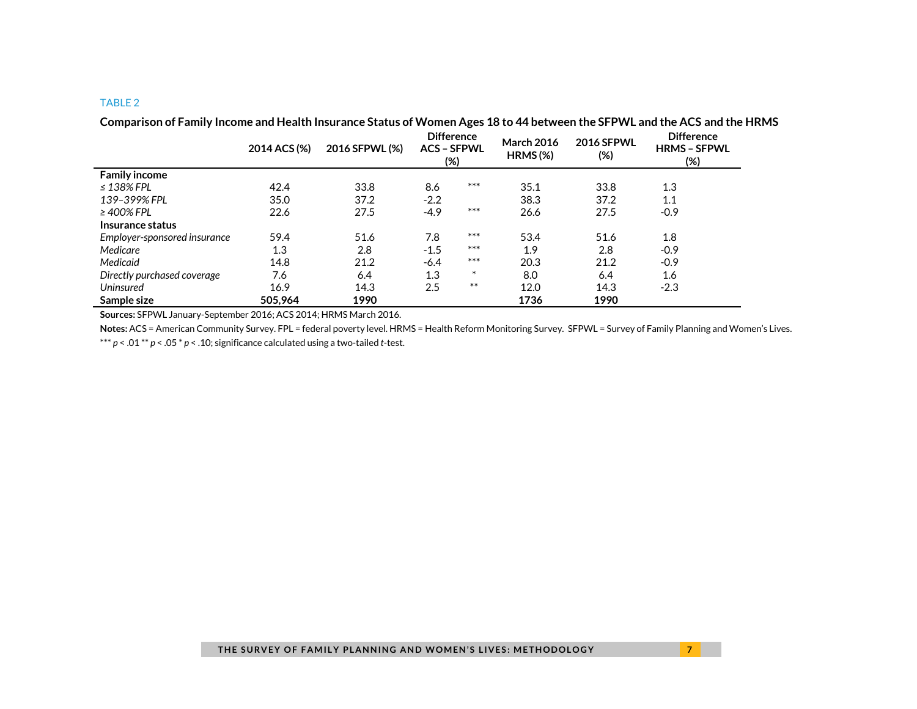|                              | 2014 ACS (%) | 2016 SFPWL (%) | <b>Difference</b><br><b>ACS - SFPWL</b><br>(%) |        | <b>March 2016</b><br>$HRMS$ (%) | <b>2016 SFPWL</b><br>(%) | <b>Difference</b><br><b>HRMS - SFPWL</b><br>(%) |
|------------------------------|--------------|----------------|------------------------------------------------|--------|---------------------------------|--------------------------|-------------------------------------------------|
| <b>Family income</b>         |              |                |                                                |        |                                 |                          |                                                 |
| $\leq$ 138% FPL              | 42.4         | 33.8           | 8.6                                            | $***$  | 35.1                            | 33.8                     | 1.3                                             |
| 139-399% FPL                 | 35.0         | 37.2           | $-2.2$                                         |        | 38.3                            | 37.2                     | 1.1                                             |
| $\geq$ 400% FPL              | 22.6         | 27.5           | $-4.9$                                         | $***$  | 26.6                            | 27.5                     | $-0.9$                                          |
| Insurance status             |              |                |                                                |        |                                 |                          |                                                 |
| Employer-sponsored insurance | 59.4         | 51.6           | 7.8                                            | $***$  | 53.4                            | 51.6                     | 1.8                                             |
| Medicare                     | 1.3          | 2.8            | $-1.5$                                         | $***$  | 1.9                             | 2.8                      | $-0.9$                                          |
| Medicaid                     | 14.8         | 21.2           | $-6.4$                                         | $***$  | 20.3                            | 21.2                     | $-0.9$                                          |
| Directly purchased coverage  | 7.6          | 6.4            | 1.3                                            | $\ast$ | 8.0                             | 6.4                      | 1.6                                             |
| <b>Uninsured</b>             | 16.9         | 14.3           | 2.5                                            | $***$  | 12.0                            | 14.3                     | $-2.3$                                          |
| Sample size                  | 505,964      | 1990           |                                                |        | 1736                            | 1990                     |                                                 |

**Comparison of Family Income and Health Insurance Status of Women Ages 18 to 44 between the SFPWL and the ACS and the HRMS**

**Sources:** SFPWL January-September 2016; ACS 2014; HRMS March 2016.

**Notes:** ACS = American Community Survey. FPL = federal poverty level. HRMS = Health Reform Monitoring Survey. SFPWL = Survey of Family Planning and Women's Lives.

\*\*\* *p* < .01 \*\* *p* < .05 \* *p* < .10; significance calculated using a two-tailed *t*-test.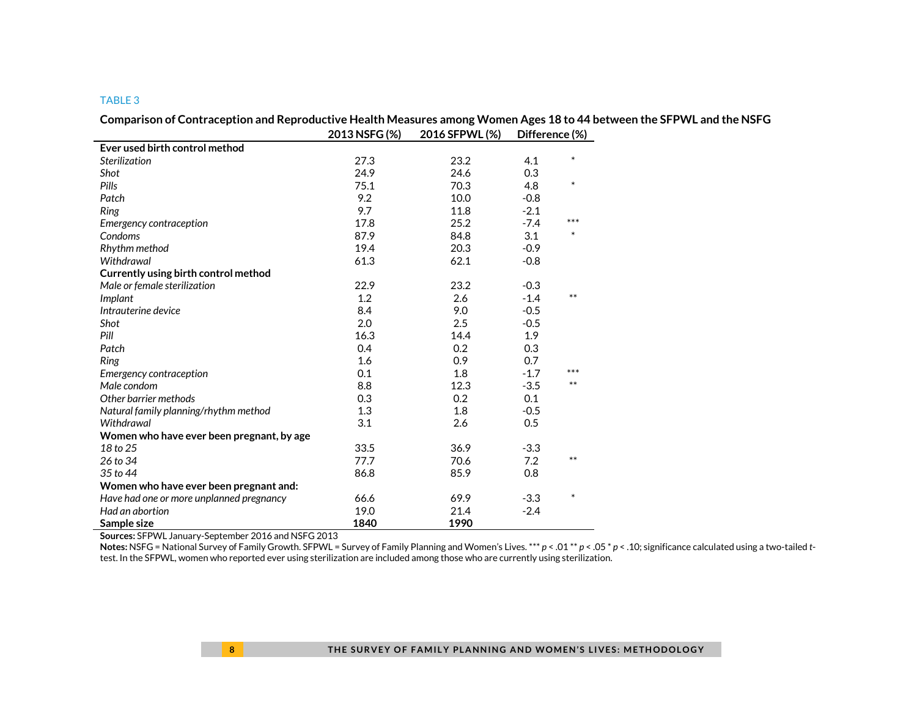|                                           | 2013 NSFG (%) | 2016 SFPWL (%) | Difference (%) |        |  |
|-------------------------------------------|---------------|----------------|----------------|--------|--|
| Ever used birth control method            |               |                |                |        |  |
| Sterilization                             | 27.3          | 23.2           | 4.1            | $\ast$ |  |
| Shot                                      | 24.9          | 24.6           | 0.3            |        |  |
| Pills                                     | 75.1          | 70.3           | 4.8            | $\ast$ |  |
| Patch                                     | 9.2           | 10.0           | $-0.8$         |        |  |
| Ring                                      | 9.7           | 11.8           | $-2.1$         |        |  |
| Emergency contraception                   | 17.8          | 25.2           | $-7.4$         | ***    |  |
| Condoms                                   | 87.9          | 84.8           | 3.1            | $\ast$ |  |
| Rhythm method                             | 19.4          | 20.3           | $-0.9$         |        |  |
| Withdrawal                                | 61.3          | 62.1           | $-0.8$         |        |  |
| Currently using birth control method      |               |                |                |        |  |
| Male or female sterilization              | 22.9          | 23.2           | $-0.3$         |        |  |
| Implant                                   | 1.2           | 2.6            | $-1.4$         | $***$  |  |
| Intrauterine device                       | 8.4           | 9.0            | $-0.5$         |        |  |
| Shot                                      | 2.0           | 2.5            | $-0.5$         |        |  |
| Pill                                      | 16.3          | 14.4           | 1.9            |        |  |
| Patch                                     | 0.4           | 0.2            | 0.3            |        |  |
| <b>Ring</b>                               | 1.6           | 0.9            | 0.7            |        |  |
| Emergency contraception                   | 0.1           | 1.8            | $-1.7$         | ***    |  |
| Male condom                               | 8.8           | 12.3           | $-3.5$         | $***$  |  |
| Other barrier methods                     | 0.3           | 0.2            | 0.1            |        |  |
| Natural family planning/rhythm method     | 1.3           | 1.8            | $-0.5$         |        |  |
| Withdrawal                                | 3.1           | 2.6            | 0.5            |        |  |
| Women who have ever been pregnant, by age |               |                |                |        |  |
| 18 to 25                                  | 33.5          | 36.9           | $-3.3$         |        |  |
| 26 to 34                                  | 77.7          | 70.6           | 7.2            | $***$  |  |
| 35 to 44                                  | 86.8          | 85.9           | 0.8            |        |  |
| Women who have ever been pregnant and:    |               |                |                |        |  |
| Have had one or more unplanned pregnancy  | 66.6          | 69.9           | $-3.3$         | $\ast$ |  |
| Had an abortion                           | 19.0          | 21.4           | $-2.4$         |        |  |
| Sample size                               | 1840          | 1990           |                |        |  |

**Comparison of Contraception and Reproductive Health Measures among Women Ages 18 to 44 between the SFPWL and the NSFG**

**Sources:** SFPWL January-September 2016 and NSFG 2013

**Notes:** NSFG = National Survey of Family Growth. SFPWL = Survey of Family Planning and Women's Lives. \*\*\* *p* < .01 \*\* *p* < .05 \* *p* < .10; significance calculated using a two-tailed *t*test. In the SFPWL, women who reported ever using sterilization are included among those who are currently using sterilization.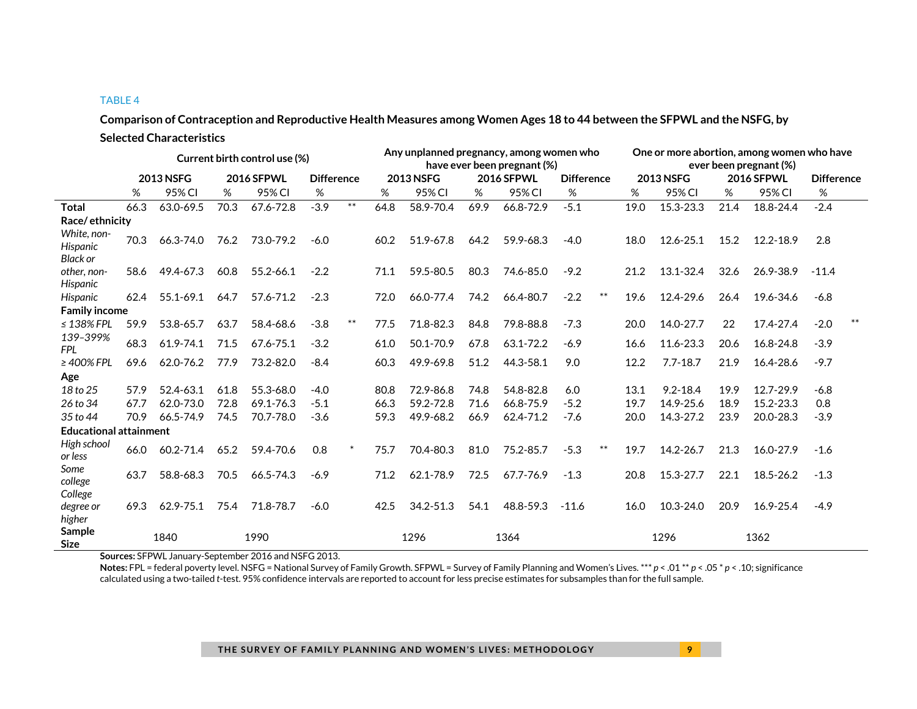**Comparison of Contraception and Reproductive Health Measures among Women Ages 18 to 44 between the SFPWL and the NSFG, by Selected Characteristics**

|                                            | Current birth control use (%) |           |                   |           |                   |        | Any unplanned pregnancy, among women who<br>have ever been pregnant (%) |               |                   |           |                   | One or more abortion, among women who have<br>ever been pregnant (%) |                  |               |                   |           |                   |       |
|--------------------------------------------|-------------------------------|-----------|-------------------|-----------|-------------------|--------|-------------------------------------------------------------------------|---------------|-------------------|-----------|-------------------|----------------------------------------------------------------------|------------------|---------------|-------------------|-----------|-------------------|-------|
|                                            | <b>2013 NSFG</b>              |           | <b>2016 SFPWL</b> |           | <b>Difference</b> |        | <b>2013 NSFG</b>                                                        |               | <b>2016 SFPWL</b> |           | <b>Difference</b> |                                                                      | <b>2013 NSFG</b> |               | <b>2016 SFPWL</b> |           | <b>Difference</b> |       |
|                                            | %                             | 95% CI    | %                 | 95% CI    | %                 |        | %                                                                       | 95% CI        | %                 | 95% CI    | $\%$              |                                                                      | %                | 95% CI        | %                 | 95% CI    | %                 |       |
| <b>Total</b>                               | 66.3                          | 63.0-69.5 | 70.3              | 67.6-72.8 | $-3.9$            | $***$  | 64.8                                                                    | 58.9-70.4     | 69.9              | 66.8-72.9 | $-5.1$            |                                                                      | 19.0             | 15.3-23.3     | 21.4              | 18.8-24.4 | $-2.4$            |       |
| Race/ethnicity                             |                               |           |                   |           |                   |        |                                                                         |               |                   |           |                   |                                                                      |                  |               |                   |           |                   |       |
| White, non-<br>Hispanic<br><b>Black or</b> | 70.3                          | 66.3-74.0 | 76.2              | 73.0-79.2 | $-6.0$            |        | 60.2                                                                    | 51.9-67.8     | 64.2              | 59.9-68.3 | $-4.0$            |                                                                      | 18.0             | 12.6-25.1     | 15.2              | 12.2-18.9 | 2.8               |       |
| other, non-<br>Hispanic                    | 58.6                          | 49.4-67.3 | 60.8              | 55.2-66.1 | $-2.2$            |        | 71.1                                                                    | 59.5-80.5     | 80.3              | 74.6-85.0 | $-9.2$            |                                                                      | 21.2             | 13.1-32.4     | 32.6              | 26.9-38.9 | $-11.4$           |       |
| Hispanic                                   | 62.4                          | 55.1-69.1 | 64.7              | 57.6-71.2 | $-2.3$            |        | 72.0                                                                    | 66.0-77.4     | 74.2              | 66.4-80.7 | $-2.2$            | $***$                                                                | 19.6             | 12.4-29.6     | 26.4              | 19.6-34.6 | $-6.8$            |       |
| <b>Family income</b>                       |                               |           |                   |           |                   |        |                                                                         |               |                   |           |                   |                                                                      |                  |               |                   |           |                   |       |
| $\leq$ 138% FPL                            | 59.9                          | 53.8-65.7 | 63.7              | 58.4-68.6 | $-3.8$            | $***$  | 77.5                                                                    | 71.8-82.3     | 84.8              | 79.8-88.8 | $-7.3$            |                                                                      | 20.0             | 14.0-27.7     | 22                | 17.4-27.4 | $-2.0$            | $***$ |
| 139-399%<br><b>FPL</b>                     | 68.3                          | 61.9-74.1 | 71.5              | 67.6-75.1 | $-3.2$            |        | 61.0                                                                    | 50.1-70.9     | 67.8              | 63.1-72.2 | $-6.9$            |                                                                      | 16.6             | 11.6-23.3     | 20.6              | 16.8-24.8 | $-3.9$            |       |
| $\geq 400\%$ FPL                           | 69.6                          | 62.0-76.2 | 77.9              | 73.2-82.0 | $-8.4$            |        | 60.3                                                                    | 49.9-69.8     | 51.2              | 44.3-58.1 | 9.0               |                                                                      | 12.2             | $7.7 - 18.7$  | 21.9              | 16.4-28.6 | $-9.7$            |       |
| Age                                        |                               |           |                   |           |                   |        |                                                                         |               |                   |           |                   |                                                                      |                  |               |                   |           |                   |       |
| 18 to 25                                   | 57.9                          | 52.4-63.1 | 61.8              | 55.3-68.0 | $-4.0$            |        | 80.8                                                                    | 72.9-86.8     | 74.8              | 54.8-82.8 | 6.0               |                                                                      | 13.1             | $9.2 - 18.4$  | 19.9              | 12.7-29.9 | $-6.8$            |       |
| 26 to 34                                   | 67.7                          | 62.0-73.0 | 72.8              | 69.1-76.3 | $-5.1$            |        | 66.3                                                                    | 59.2-72.8     | 71.6              | 66.8-75.9 | $-5.2$            |                                                                      | 19.7             | 14.9-25.6     | 18.9              | 15.2-23.3 | 0.8               |       |
| 35 to 44                                   | 70.9                          | 66.5-74.9 | 74.5              | 70.7-78.0 | $-3.6$            |        | 59.3                                                                    | 49.9-68.2     | 66.9              | 62.4-71.2 | $-7.6$            |                                                                      | 20.0             | 14.3-27.2     | 23.9              | 20.0-28.3 | $-3.9$            |       |
| <b>Educational attainment</b>              |                               |           |                   |           |                   |        |                                                                         |               |                   |           |                   |                                                                      |                  |               |                   |           |                   |       |
| High school<br>or less                     | 66.0                          | 60.2-71.4 | 65.2              | 59.4-70.6 | 0.8               | $\ast$ | 75.7                                                                    | 70.4-80.3     | 81.0              | 75.2-85.7 | $-5.3$            | $***$                                                                | 19.7             | 14.2-26.7     | 21.3              | 16.0-27.9 | $-1.6$            |       |
| Some<br>college                            | 63.7                          | 58.8-68.3 | 70.5              | 66.5-74.3 | $-6.9$            |        | 71.2                                                                    | 62.1-78.9     | 72.5              | 67.7-76.9 | $-1.3$            |                                                                      | 20.8             | 15.3-27.7     | 22.1              | 18.5-26.2 | $-1.3$            |       |
| College<br>degree or<br>higher             | 69.3                          | 62.9-75.1 | 75.4              | 71.8-78.7 | $-6.0$            |        | 42.5                                                                    | $34.2 - 51.3$ | 54.1              | 48.8-59.3 | $-11.6$           |                                                                      | 16.0             | $10.3 - 24.0$ | 20.9              | 16.9-25.4 | $-4.9$            |       |
| Sample<br><b>Size</b>                      |                               | 1840      |                   | 1990      |                   |        |                                                                         | 1296          |                   | 1364      |                   |                                                                      |                  | 1296          |                   | 1362      |                   |       |

**Sources:** SFPWL January-September 2016 and NSFG 2013.

**Notes:** FPL = federal poverty level. NSFG = National Survey of Family Growth. SFPWL = Survey of Family Planning and Women's Lives. \*\*\* *p* < .01 \*\* *p* < .05 \* *p* < .10; significance calculated using a two-tailed *t*-test. 95% confidence intervals are reported to account for less precise estimates for subsamples than for the full sample.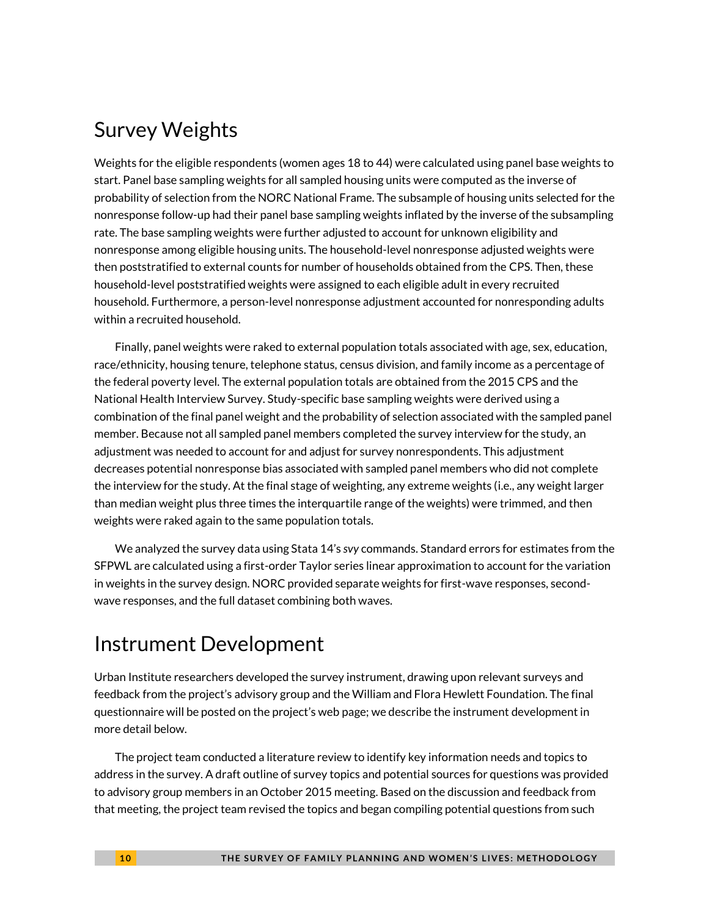#### Survey Weights

Weights for the eligible respondents (women ages 18 to 44) were calculated using panel base weights to start. Panel base sampling weights for all sampled housing units were computed as the inverse of probability of selection from the NORC National Frame. The subsample of housing units selected for the nonresponse follow-up had their panel base sampling weights inflated by the inverse of the subsampling rate. The base sampling weights were further adjusted to account for unknown eligibility and nonresponse among eligible housing units. The household-level nonresponse adjusted weights were then poststratified to external counts for number of households obtained from the CPS. Then, these household-level poststratified weights were assigned to each eligible adult in every recruited household. Furthermore, a person-level nonresponse adjustment accounted for nonresponding adults within a recruited household.

Finally, panel weights were raked to external population totals associated with age, sex, education, race/ethnicity, housing tenure, telephone status, census division, and family income as a percentage of the federal poverty level. The external population totals are obtained from the 2015 CPS and the National Health Interview Survey. Study-specific base sampling weights were derived using a combination of the final panel weight and the probability of selection associated with the sampled panel member. Because not all sampled panel members completed the survey interview for the study, an adjustment was needed to account for and adjust for survey nonrespondents. This adjustment decreases potential nonresponse bias associated with sampled panel members who did not complete the interview for the study. At the final stage of weighting, any extreme weights (i.e., any weight larger than median weight plus three times the interquartile range of the weights) were trimmed, and then weights were raked again to the same population totals.

We analyzed the survey data using Stata 14's *svy* commands. Standard errors for estimates from the SFPWL are calculated using a first-order Taylor series linear approximation to account for the variation in weights in the survey design. NORC provided separate weights for first-wave responses, secondwave responses, and the full dataset combining both waves.

### Instrument Development

Urban Institute researchers developed the survey instrument, drawing upon relevant surveys and feedback from the project's advisory group and the William and Flora Hewlett Foundation. The final questionnaire will be posted on the project's web page; we describe the instrument development in more detail below.

The project team conducted a literature review to identify key information needs and topics to address in the survey. A draft outline of survey topics and potential sources for questions was provided to advisory group members in an October 2015 meeting. Based on the discussion and feedback from that meeting, the project team revised the topics and began compiling potential questions from such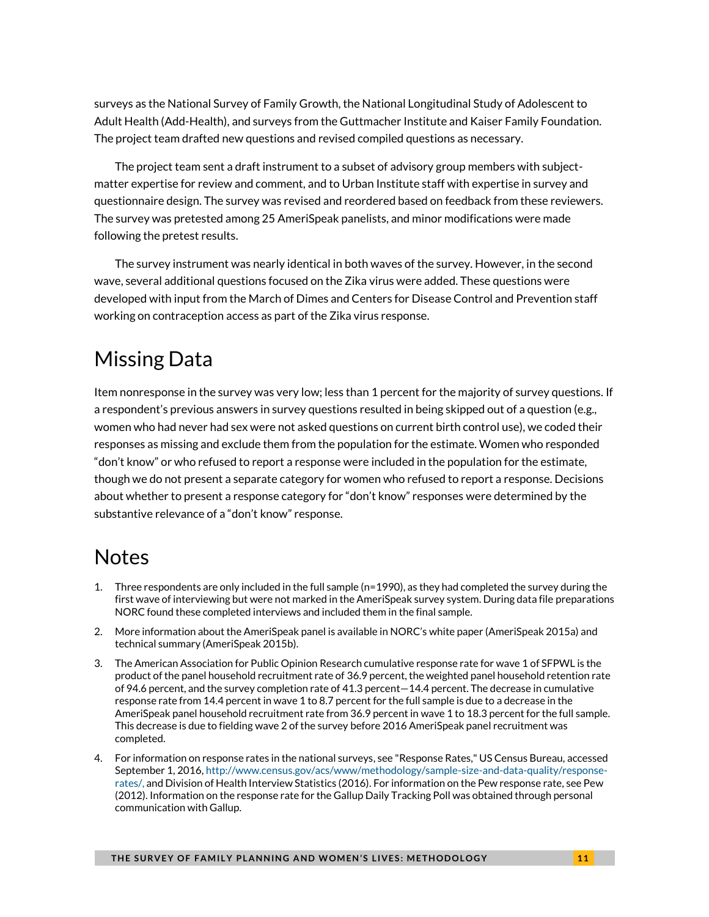surveys as the National Survey of Family Growth, the National Longitudinal Study of Adolescent to Adult Health (Add-Health), and surveys from the Guttmacher Institute and Kaiser Family Foundation. The project team drafted new questions and revised compiled questions as necessary.

The project team sent a draft instrument to a subset of advisory group members with subjectmatter expertise for review and comment, and to Urban Institute staff with expertise in survey and questionnaire design. The survey was revised and reordered based on feedback from these reviewers. The survey was pretested among 25 AmeriSpeak panelists, and minor modifications were made following the pretest results.

The survey instrument was nearly identical in both waves of the survey. However, in the second wave, several additional questions focused on the Zika virus were added. These questions were developed with input from the March of Dimes and Centers for Disease Control and Prevention staff working on contraception access as part of the Zika virus response.

## Missing Data

Item nonresponse in the survey was very low; less than 1 percent for the majority of survey questions. If a respondent's previous answers in survey questions resulted in being skipped out of a question (e.g., women who had never had sex were not asked questions on current birth control use), we coded their responses as missing and exclude them from the population for the estimate. Women who responded "don't know" or who refused to report a response were included in the population for the estimate, though we do not present a separate category for women who refused to report a response. Decisions about whether to present a response category for "don't know" responses were determined by the substantive relevance of a "don't know" response.

### **Notes**

- 1. Three respondents are only included in the full sample (n=1990), as they had completed the survey during the first wave of interviewing but were not marked in the AmeriSpeak survey system. During data file preparations NORC found these completed interviews and included them in the final sample.
- 2. More information about the AmeriSpeak panel is available in NORC's white paper (AmeriSpeak 2015a) and technical summary (AmeriSpeak 2015b).
- 3. The American Association for Public Opinion Research cumulative response rate for wave 1 of SFPWL is the product of the panel household recruitment rate of 36.9 percent, the weighted panel household retention rate of 94.6 percent, and the survey completion rate of 41.3 percent—14.4 percent. The decrease in cumulative response rate from 14.4 percent in wave 1 to 8.7 percent for the full sample is due to a decrease in the AmeriSpeak panel household recruitment rate from 36.9 percent in wave 1 to 18.3 percent for the full sample. This decrease is due to fielding wave 2 of the survey before 2016 AmeriSpeak panel recruitment was completed.
- 4. For information on response rates in the national surveys, see "Response Rates," US Census Bureau, accessed September 1, 2016[, http://www.census.gov/acs/www/methodology/sample-size-and-data-quality/response](http://www.census.gov/acs/www/methodology/sample-size-and-data-quality/response-rates/)[rates/,](http://www.census.gov/acs/www/methodology/sample-size-and-data-quality/response-rates/) and Division of Health Interview Statistics (2016). For information on the Pew response rate, see Pew (2012). Information on the response rate for the Gallup Daily Tracking Poll was obtained through personal communication with Gallup.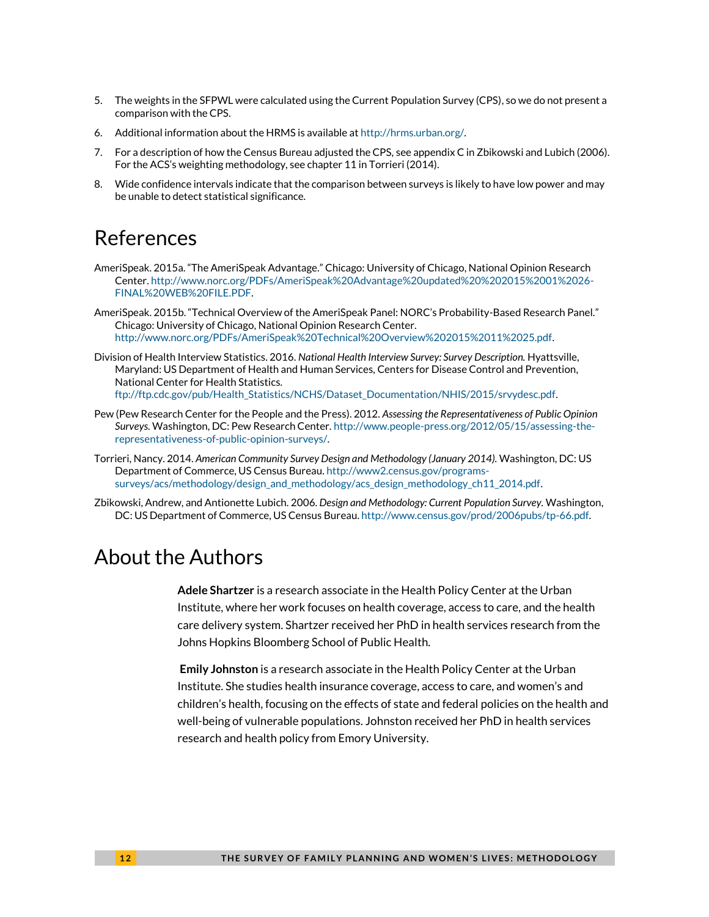- 5. The weights in the SFPWL were calculated using the Current Population Survey (CPS), so we do not present a comparison with the CPS.
- 6. Additional information about the HRMS is available a[t http://hrms.urban.org/.](http://hrms.urban.org/)
- 7. For a description of how the Census Bureau adjusted the CPS, see appendix C in Zbikowski and Lubich (2006). For the ACS's weighting methodology, see chapter 11 in Torrieri (2014).
- 8. Wide confidence intervals indicate that the comparison between surveys is likely to have low power and may be unable to detect statistical significance.

#### References

- AmeriSpeak. 2015a. "The AmeriSpeak Advantage." Chicago: University of Chicago, National Opinion Research Center[. http://www.norc.org/PDFs/AmeriSpeak%20Advantage%20updated%20%202015%2001%2026-](http://www.norc.org/PDFs/AmeriSpeak%20Advantage%20updated%20%202015%2001%2026-FINAL%20WEB%20FILE.PDF) [FINAL%20WEB%20FILE.PDF.](http://www.norc.org/PDFs/AmeriSpeak%20Advantage%20updated%20%202015%2001%2026-FINAL%20WEB%20FILE.PDF)
- AmeriSpeak. 2015b. "Technical Overview of the AmeriSpeak Panel: NORC's Probability-Based Research Panel." Chicago: University of Chicago, National Opinion Research Center. [http://www.norc.org/PDFs/AmeriSpeak%20Technical%20Overview%202015%2011%2025.pdf.](http://www.norc.org/PDFs/AmeriSpeak%20Technical%20Overview%202015%2011%2025.pdf)
- Division of Health Interview Statistics. 2016. *National Health Interview Survey: Survey Description.* Hyattsville, Maryland: US Department of Health and Human Services, Centers for Disease Control and Prevention, National Center for Health Statistics. [ftp://ftp.cdc.gov/pub/Health\\_Statistics/NCHS/Dataset\\_Documentation/NHIS/2015/srvydesc.pdf.](ftp://ftp.cdc.gov/pub/Health_Statistics/NCHS/Dataset_Documentation/NHIS/2015/srvydesc.pdf)
- Pew (Pew Research Center for the People and the Press). 2012. *Assessing the Representativeness of Public Opinion Surveys.* Washington, DC: Pew Research Center[. http://www.people-press.org/2012/05/15/assessing-the](http://www.people-press.org/2012/05/15/assessing-the-representativeness-of-public-opinion-surveys/)[representativeness-of-public-opinion-surveys/.](http://www.people-press.org/2012/05/15/assessing-the-representativeness-of-public-opinion-surveys/)
- Torrieri, Nancy. 2014. *American Community Survey Design and Methodology (January 2014).* Washington, DC: US Department of Commerce, US Census Bureau[. http://www2.census.gov/programs](http://www2.census.gov/programs-surveys/acs/methodology/design_and_methodology/acs_design_methodology_ch11_2014.pdf)[surveys/acs/methodology/design\\_and\\_methodology/acs\\_design\\_methodology\\_ch11\\_2014.pdf.](http://www2.census.gov/programs-surveys/acs/methodology/design_and_methodology/acs_design_methodology_ch11_2014.pdf)
- Zbikowski, Andrew, and Antionette Lubich. 2006. *Design and Methodology: Current Population Survey.* Washington, DC: US Department of Commerce, US Census Bureau[. http://www.census.gov/prod/2006pubs/tp-66.pdf.](http://www.census.gov/prod/2006pubs/tp-66.pdf)

#### About the Authors

**Adele Shartzer** is a research associate in the Health Policy Center at the Urban Institute, where her work focuses on health coverage, access to care, and the health care delivery system. Shartzer received her PhD in health services research from the Johns Hopkins Bloomberg School of Public Health.

**Emily Johnston** is a research associate in the Health Policy Center at the Urban Institute. She studies health insurance coverage, access to care, and women's and children's health, focusing on the effects of state and federal policies on the health and well-being of vulnerable populations. Johnston received her PhD in health services research and health policy from Emory University.